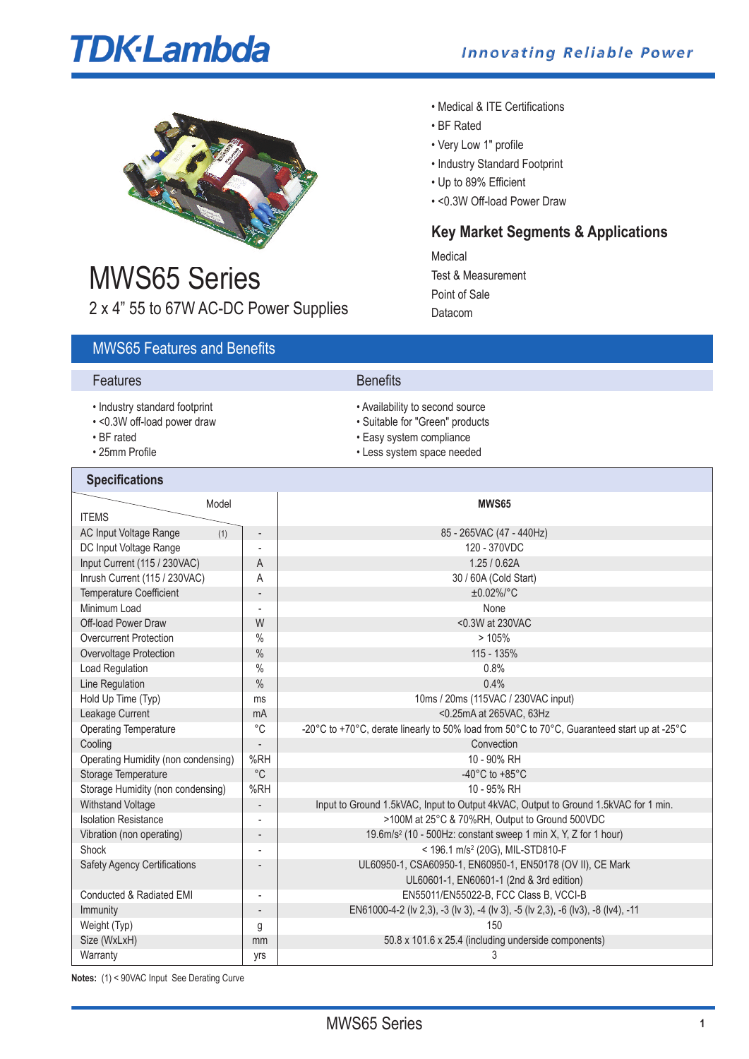# **TDK-Lambda**

**Key Market Segments & Applications**



# MWS65 Series 2 x 4" 55 to 67W AC-DC Power Supplies

# MWS65 Features and Benefits

# **Features** Benefits

- Industry standard footprint  $\bullet$  Availability to second source
- 
- 
- 

# **Specifications**

• <0.3W off-load power draw • Suitable for "Green" products<br>• BF rated • Easy system compliance

Medical

• BF Rated

• Very Low 1" profile

• Up to 89% Efficient

Point of Sale Datacom

Test & Measurement

• Medical & ITE Certifications

• Industry Standard Footprint

• <0.3W Off-load Power Draw

- Easy system compliance
- 25mm Profile Less system space needed

| Model<br><b>ITEMS</b>                                          |                              | <b>MWS65</b>                                                                                |  |  |
|----------------------------------------------------------------|------------------------------|---------------------------------------------------------------------------------------------|--|--|
|                                                                |                              |                                                                                             |  |  |
| AC Input Voltage Range<br>(1)                                  | $\overline{\phantom{m}}$     | 85 - 265VAC (47 - 440Hz)                                                                    |  |  |
| DC Input Voltage Range                                         |                              | 120 - 370VDC                                                                                |  |  |
| Input Current (115 / 230VAC)                                   | A                            | 1.25 / 0.62A                                                                                |  |  |
| Inrush Current (115 / 230VAC)                                  | Α                            | 30 / 60A (Cold Start)                                                                       |  |  |
| <b>Temperature Coefficient</b>                                 | $\overline{\phantom{a}}$     | $±0.02\%/°C$                                                                                |  |  |
| Minimum Load                                                   |                              | None                                                                                        |  |  |
| Off-load Power Draw                                            | W                            | <0.3W at 230VAC                                                                             |  |  |
| <b>Overcurrent Protection</b>                                  | $\%$                         | >105%                                                                                       |  |  |
| Overvoltage Protection                                         | $\%$                         | 115 - 135%                                                                                  |  |  |
| Load Regulation                                                | $\frac{0}{0}$                | 0.8%                                                                                        |  |  |
| Line Regulation                                                | $\%$                         | 0.4%                                                                                        |  |  |
| Hold Up Time (Typ)                                             | ms                           | 10ms / 20ms (115VAC / 230VAC input)                                                         |  |  |
| Leakage Current                                                | mA                           | <0.25mA at 265VAC, 63Hz                                                                     |  |  |
| <b>Operating Temperature</b>                                   | $^{\circ}C$                  | -20°C to +70°C, derate linearly to 50% load from 50°C to 70°C, Guaranteed start up at -25°C |  |  |
| Cooling                                                        | $\overline{a}$               | Convection                                                                                  |  |  |
| Operating Humidity (non condensing)                            | %RH                          | 10 - 90% RH                                                                                 |  |  |
| Storage Temperature                                            | $^{\circ}$ C                 | -40°C to +85°C                                                                              |  |  |
| Storage Humidity (non condensing)                              | %RH                          | 10 - 95% RH                                                                                 |  |  |
| <b>Withstand Voltage</b>                                       | $\overline{\phantom{a}}$     | Input to Ground 1.5kVAC, Input to Output 4kVAC, Output to Ground 1.5kVAC for 1 min.         |  |  |
| <b>Isolation Resistance</b>                                    |                              | >100M at 25°C & 70%RH, Output to Ground 500VDC                                              |  |  |
| Vibration (non operating)                                      | $\qquad \qquad \blacksquare$ | 19.6m/s <sup>2</sup> (10 - 500Hz: constant sweep 1 min X, Y, Z for 1 hour)                  |  |  |
| Shock                                                          |                              | < 196.1 m/s <sup>2</sup> (20G), MIL-STD810-F                                                |  |  |
| <b>Safety Agency Certifications</b>                            |                              | UL60950-1, CSA60950-1, EN60950-1, EN50178 (OV II), CE Mark                                  |  |  |
|                                                                |                              | UL60601-1, EN60601-1 (2nd & 3rd edition)                                                    |  |  |
| Conducted & Radiated EMI                                       | ÷,                           | EN55011/EN55022-B, FCC Class B, VCCI-B                                                      |  |  |
| Immunity                                                       | $\overline{\phantom{a}}$     | EN61000-4-2 (Iv 2,3), -3 (Iv 3), -4 (Iv 3), -5 (Iv 2,3), -6 (Iv3), -8 (Iv4), -11            |  |  |
| Weight (Typ)                                                   | g                            | 150                                                                                         |  |  |
| Size (WxLxH)                                                   | mm                           | 50.8 x 101.6 x 25.4 (including underside components)                                        |  |  |
| Warranty                                                       | yrs                          | 3                                                                                           |  |  |
| $(4)$ and $(80 \text{ m/s})$ is set that $\sum_{n=1}^{\infty}$ |                              |                                                                                             |  |  |

**Notes:** (1) < 90VAC Input See Derating Curve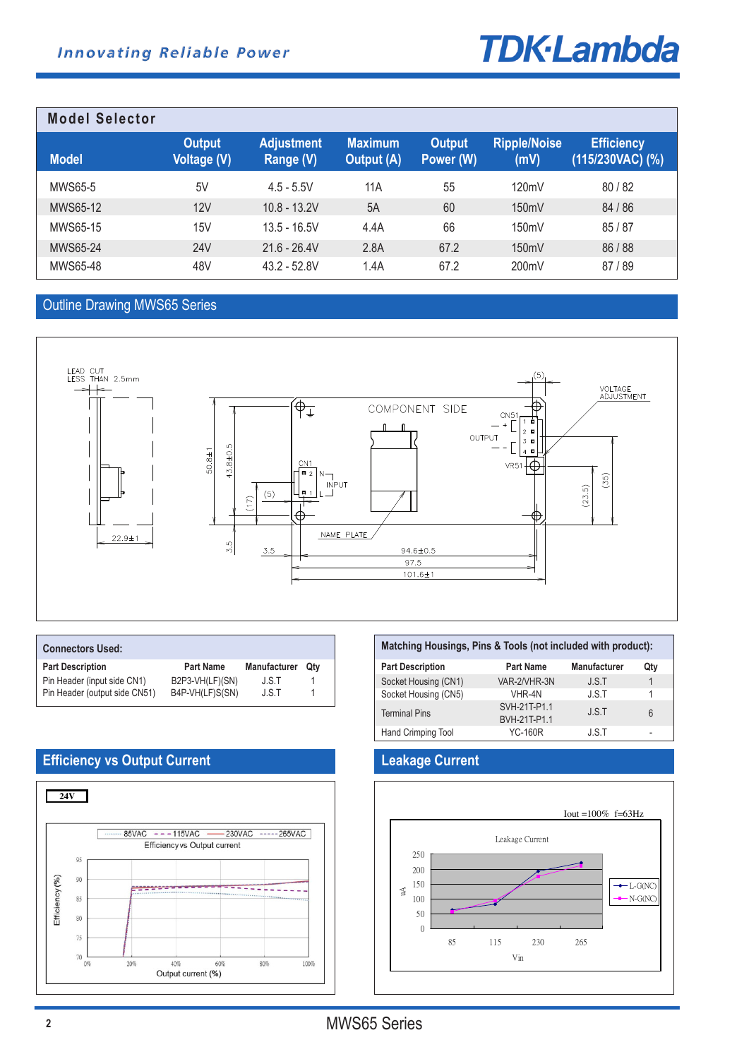# **TDK-Lambda**

| <b>Model Selector</b> |                                     |                                |                                     |                            |                             |                                         |
|-----------------------|-------------------------------------|--------------------------------|-------------------------------------|----------------------------|-----------------------------|-----------------------------------------|
| <b>Model</b>          | <b>Output</b><br><b>Voltage (V)</b> | <b>Adjustment</b><br>Range (V) | <b>Maximum</b><br><b>Output (A)</b> | <b>Output</b><br>Power (W) | <b>Ripple/Noise</b><br>(mV) | <b>Efficiency</b><br>$(115/230VAC)$ (%) |
| <b>MWS65-5</b>        | 5V                                  | $4.5 - 5.5V$                   | 11A                                 | 55                         | 120mV                       | 80/82                                   |
| MWS65-12              | 12V                                 | $10.8 - 13.2V$                 | 5A                                  | 60                         | 150mV                       | 84 / 86                                 |
| MWS65-15              | 15V                                 | $13.5 - 16.5V$                 | 4.4A                                | 66                         | 150mV                       | 85/87                                   |
| MWS65-24              | <b>24V</b>                          | $21.6 - 26.4V$                 | 2.8A                                | 67.2                       | 150mV                       | 86/88                                   |
| MWS65-48              | 48V                                 | $43.2 - 52.8V$                 | 1.4A                                | 67.2                       | 200mV                       | 87/89                                   |

# Outline Drawing MWS65 Series



| <b>Connectors Used:</b>       |                  |                     |     |
|-------------------------------|------------------|---------------------|-----|
| <b>Part Description</b>       | <b>Part Name</b> | <b>Manufacturer</b> | Qtv |
| Pin Header (input side CN1)   | B2P3-VH(LF)(SN)  | J.S.T               |     |
| Pin Header (output side CN51) | B4P-VH(LF)S(SN)  | J.S.T               |     |

| Matching Housings, Pins & Tools (not included with product): |                              |              |     |  |  |
|--------------------------------------------------------------|------------------------------|--------------|-----|--|--|
| <b>Part Description</b>                                      | <b>Part Name</b>             | Manufacturer | Qty |  |  |
| Socket Housing (CN1)                                         | VAR-2/VHR-3N                 | J.S.T        |     |  |  |
| Socket Housing (CN5)                                         | VHR-4N                       | J.S.T        | 1   |  |  |
| <b>Terminal Pins</b>                                         | SVH-21T-P1.1<br>BVH-21T-P1.1 | J.S.T        | 6   |  |  |
| Hand Crimping Tool                                           | <b>YC-160R</b>               | J.S.T        | -   |  |  |



# **Efficiency vs Output Current Leakage Current**

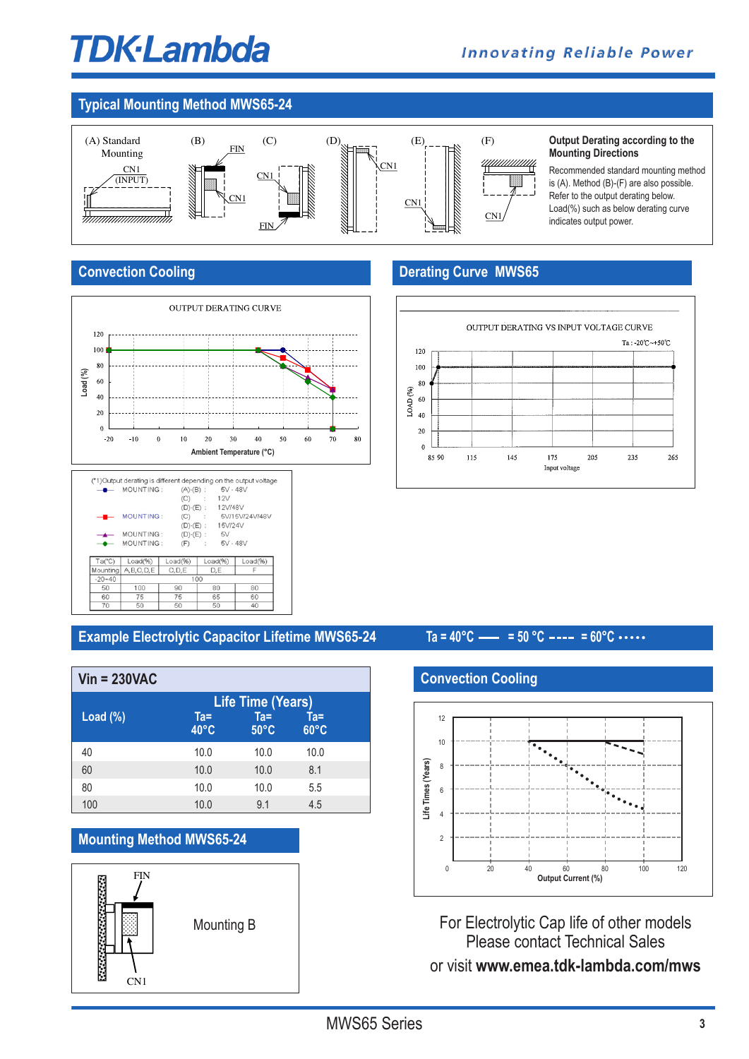# **TDK**-Lambda

# **Typical Mounting Method MWS65-24**



### **Output Derating according to the Mounting Directions**

Recommended standard mounting method is (A). Method (B)-(F) are also possible. Refer to the output derating below. Load(%) such as below derating curve indicates output power.

# **Convection Cooling**

 $rac{60}{70}$ 

 $\frac{75}{50}$ 

 $\frac{75}{50}$ 



# **Derating Curve MWS65**



# **Example Electrolytic Capacitor Lifetime MWS65-24 Ta = 40°C = 50 °C = 60°C**

60 40

 $rac{65}{50}$ 

| $Vin = 230VAC$ |                       |                                               |                       |  |
|----------------|-----------------------|-----------------------------------------------|-----------------------|--|
| Load $(\%)$    | Ta=<br>$40^{\circ}$ C | Life Time (Years)<br>$Ta =$<br>$50^{\circ}$ C | Ta=<br>$60^{\circ}$ C |  |
| 40             | 10.0                  | 10.0                                          | 10.0                  |  |
| 60             | 10.0                  | 10.0                                          | 8.1                   |  |
| 80             | 10.0                  | 10.0                                          | 5.5                   |  |
| 100            | 10.0                  | 9.1                                           | 4.5                   |  |

# **Mounting Method MWS65-24**



# **Convection Cooling**



For Electrolytic Cap life of other models Please contact Technical Sales or visit **www.emea.tdk-lambda.com/mws**